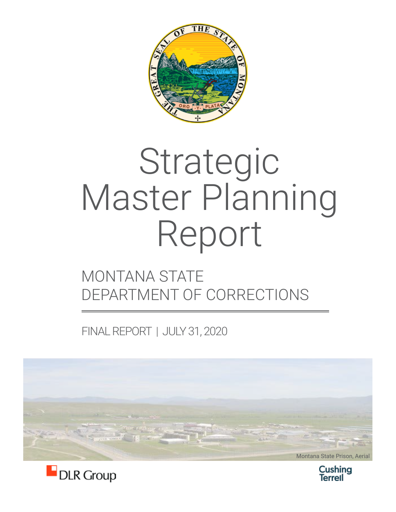

# Strategic Master Planning Report

# MONTANA STATE DEPARTMENT OF CORRECTIONS

FINAL REPORT | JULY 31, 2020





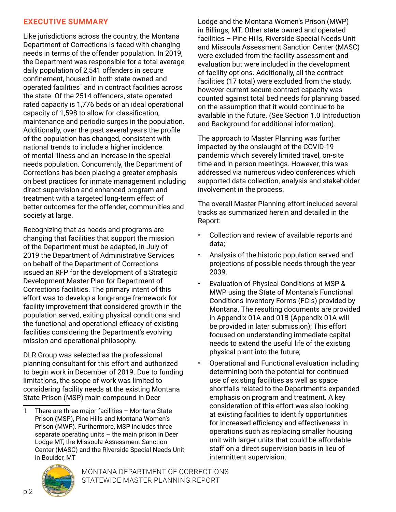#### **EXECUTIVE SUMMARY**

Like jurisdictions across the country, the Montana Department of Corrections is faced with changing needs in terms of the offender population. In 2019, the Department was responsible for a total average daily population of 2,541 offenders in secure confinement, housed in both state owned and operated facilities<sup>1</sup> and in contract facilities across the state. Of the 2514 offenders, state operated rated capacity is 1,776 beds or an ideal operational capacity of 1,598 to allow for classification, maintenance and periodic surges in the population. Additionally, over the past several years the profile of the population has changed, consistent with national trends to include a higher incidence of mental illness and an increase in the special needs population. Concurrently, the Department of Corrections has been placing a greater emphasis on best practices for inmate management including direct supervision and enhanced program and treatment with a targeted long-term effect of better outcomes for the offender, communities and society at large.

Recognizing that as needs and programs are changing that facilities that support the mission of the Department must be adapted, in July of 2019 the Department of Administrative Services on behalf of the Department of Corrections issued an RFP for the development of a Strategic Development Master Plan for Department of Corrections facilities. The primary intent of this effort was to develop a long-range framework for facility improvement that considered growth in the population served, exiting physical conditions and the functional and operational efficacy of existing facilities considering the Department's evolving mission and operational philosophy.

DLR Group was selected as the professional planning consultant for this effort and authorized to begin work in December of 2019. Due to funding limitations, the scope of work was limited to considering facility needs at the existing Montana State Prison (MSP) main compound in Deer

Lodge and the Montana Women's Prison (MWP) in Billings, MT. Other state owned and operated facilities – Pine Hills, Riverside Special Needs Unit and Missoula Assessment Sanction Center (MASC) were excluded from the facility assessment and evaluation but were included in the development of facility options. Additionally, all the contract facilities (17 total) were excluded from the study, however current secure contract capacity was counted against total bed needs for planning based on the assumption that it would continue to be available in the future. (See Section 1.0 Introduction and Background for additional information).

The approach to Master Planning was further impacted by the onslaught of the COVID-19 pandemic which severely limited travel, on-site time and in person meetings. However, this was addressed via numerous video conferences which supported data collection, analysis and stakeholder involvement in the process.

The overall Master Planning effort included several tracks as summarized herein and detailed in the Report:

- Collection and review of available reports and data;
- Analysis of the historic population served and projections of possible needs through the year 2039;
- Evaluation of Physical Conditions at MSP & MWP using the State of Montana's Functional Conditions Inventory Forms (FCIs) provided by Montana. The resulting documents are provided in Appendix 01A and 01B (Appendix 01A will be provided in later submission); This effort focused on understanding immediate capital needs to extend the useful life of the existing physical plant into the future;
- Operational and Functional evaluation including determining both the potential for continued use of existing facilities as well as space shortfalls related to the Department's expanded emphasis on program and treatment. A key consideration of this effort was also looking at existing facilities to identify opportunities for increased efficiency and effectiveness in operations such as replacing smaller housing unit with larger units that could be affordable staff on a direct supervision basis in lieu of intermittent supervision;



MONTANA DEPARTMENT OF CORRECTIONS STATEWIDE MASTER PLANNING REPORT

<sup>1</sup> There are three major facilities – Montana State Prison (MSP), Pine Hills and Montana Women's Prison (MWP). Furthermore, MSP includes three separate operating units  $-$  the main prison in Deer Lodge MT, the Missoula Assessment Sanction Center (MASC) and the Riverside Special Needs Unit in Boulder, MT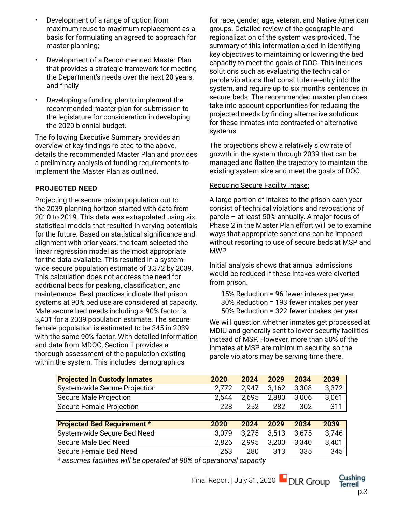- Development of a range of option from maximum reuse to maximum replacement as a basis for formulating an agreed to approach for master planning;
- Development of a Recommended Master Plan that provides a strategic framework for meeting the Department's needs over the next 20 years; and finally
- Developing a funding plan to implement the recommended master plan for submission to the legislature for consideration in developing the 2020 biennial budget.

The following Executive Summary provides an overview of key findings related to the above, details the recommended Master Plan and provides a preliminary analysis of funding requirements to implement the Master Plan as outlined.

#### **PROJECTED NEED**

Projecting the secure prison population out to the 2039 planning horizon started with data from 2010 to 2019. This data was extrapolated using six statistical models that resulted in varying potentials for the future. Based on statistical significance and alignment with prior years, the team selected the linear regression model as the most appropriate for the data available. This resulted in a systemwide secure population estimate of 3,372 by 2039. This calculation does not address the need for additional beds for peaking, classification, and maintenance. Best practices indicate that prison systems at 90% bed use are considered at capacity. Male secure bed needs including a 90% factor is 3,401 for a 2039 population estimate. The secure female population is estimated to be 345 in 2039 with the same 90% factor. With detailed information and data from MDOC, Section II provides a thorough assessment of the population existing within the system. This includes demographics

for race, gender, age, veteran, and Native American groups. Detailed review of the geographic and regionalization of the system was provided. The summary of this information aided in identifying key objectives to maintaining or lowering the bed capacity to meet the goals of DOC. This includes solutions such as evaluating the technical or parole violations that constitute re-entry into the system, and require up to six months sentences in secure beds. The recommended master plan does take into account opportunities for reducing the projected needs by finding alternative solutions for these inmates into contracted or alternative systems.

The projections show a relatively slow rate of growth in the system through 2039 that can be managed and flatten the trajectory to maintain the existing system size and meet the goals of DOC.

#### Reducing Secure Facility Intake:

A large portion of intakes to the prison each year consist of technical violations and revocations of parole – at least 50% annually. A major focus of Phase 2 in the Master Plan effort will be to examine ways that appropriate sanctions can be imposed without resorting to use of secure beds at MSP and MWP.

Initial analysis shows that annual admissions would be reduced if these intakes were diverted from prison.

15% Reduction = 96 fewer intakes per year 30% Reduction = 193 fewer intakes per year 50% Reduction = 322 fewer intakes per year

We will question whether inmates get processed at MDIU and generally sent to lower security facilities instead of MSP. However, more than 50% of the inmates at MSP are minimum security, so the parole violators may be serving time there.

| <b>Projected In Custody Inmates</b> | 2020  | 2024  | 2029  | 2034  | 2039  |
|-------------------------------------|-------|-------|-------|-------|-------|
| System-wide Secure Projection       | 2,772 | 2,947 | 3,162 | 3,308 | 3,372 |
| <b>Secure Male Projection</b>       | 2,544 | 2,695 | 2,880 | 3,006 | 3,061 |
| Secure Female Projection            | 228   | 252   | 282   | 302   | 311   |
|                                     |       |       |       |       |       |
|                                     |       |       |       |       |       |
| <b>Projected Bed Requirement *</b>  | 2020  | 2024  | 2029  | 2034  | 2039  |
| System-wide Secure Bed Need         | 3,079 | 3,275 | 3,513 | 3,675 | 3,746 |
| Secure Male Bed Need                | 2,826 | 2,995 | 3,200 | 3,340 | 3,401 |

*\* assumes facilities will be operated at 90% of operational capacity*

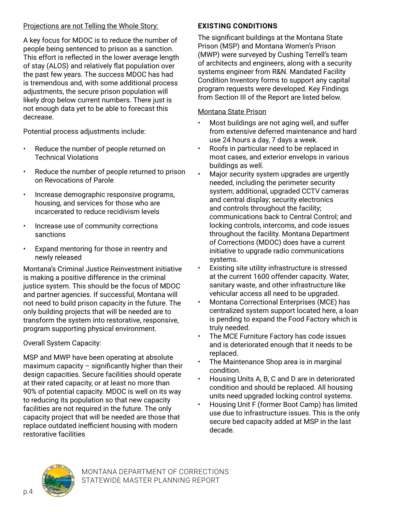#### Projections are not Telling the Whole Story:

A key focus for MDOC is to reduce the number of people being sentenced to prison as a sanction. This effort is reflected in the lower average length of stay (ALOS) and relatively flat population over the past few years. The success MDOC has had is tremendous and, with some additional process adjustments, the secure prison population will likely drop below current numbers. There just is not enough data yet to be able to forecast this decrease.

Potential process adjustments include:

- Reduce the number of people returned on Technical Violations
- Reduce the number of people returned to prison on Revocations of Parole
- Increase demographic responsive programs, housing, and services for those who are incarcerated to reduce recidivism levels
- Increase use of community corrections sanctions
- Expand mentoring for those in reentry and newly released

Montana's Criminal Justice Reinvestment initiative is making a positive difference in the criminal justice system. This should be the focus of MDOC and partner agencies. If successful, Montana will not need to build prison capacity in the future. The only building projects that will be needed are to transform the system into restorative, responsive, program supporting physical environment.

Overall System Capacity:

MSP and MWP have been operating at absolute maximum capacity  $-$  significantly higher than their design capacities. Secure facilities should operate at their rated capacity, or at least no more than 90% of potential capacity. MDOC is well on its way to reducing its population so that new capacity facilities are not required in the future. The only capacity project that will be needed are those that replace outdated inefficient housing with modern restorative facilities

### **EXISTING CONDITIONS**

The significant buildings at the Montana State Prison (MSP) and Montana Women's Prison (MWP) were surveyed by Cushing Terrell's team of architects and engineers, along with a security systems engineer from R&N. Mandated Facility Condition Inventory forms to support any capital program requests were developed. Key Findings from Section III of the Report are listed below.

#### Montana State Prison

- Most buildings are not aging well, and suffer from extensive deferred maintenance and hard use 24 hours a day, 7 days a week.
- Roofs in particular need to be replaced in most cases, and exterior envelops in various buildings as well.
- Major security system upgrades are urgently needed, including the perimeter security system; additional, upgraded CCTV cameras and central display; security electronics and controls throughout the facility; communications back to Central Control; and locking controls, intercoms, and code issues throughout the facility. Montana Department of Corrections (MDOC) does have a current initiative to upgrade radio communications systems.
- Existing site utility infrastructure is stressed at the current 1600 offender capacity. Water, sanitary waste, and other infrastructure like vehicular access all need to be upgraded.
- Montana Correctional Enterprises (MCE) has centralized system support located here, a loan is pending to expand the Food Factory which is truly needed.
- The MCE Furniture Factory has code issues and is deteriorated enough that it needs to be replaced.
- The Maintenance Shop area is in marginal condition.
- Housing Units A, B, C and D are in deteriorated condition and should be replaced. All housing units need upgraded locking control systems.
- Housing Unit F (former Boot Camp) has limited use due to infrastructure issues. This is the only secure bed capacity added at MSP in the last decade.



MONTANA DEPARTMENT OF CORRECTIONS STATEWIDE MASTER PLANNING REPORT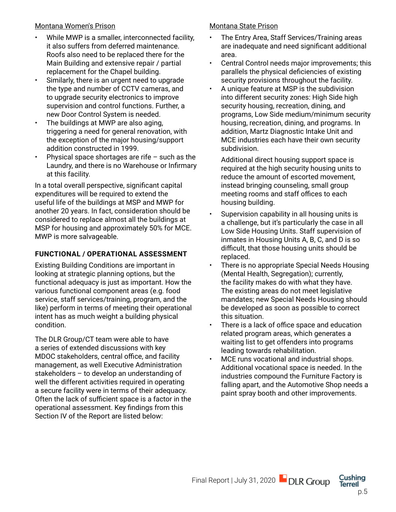#### Montana Women's Prison

- While MWP is a smaller, interconnected facility, it also suffers from deferred maintenance. Roofs also need to be replaced there for the Main Building and extensive repair / partial replacement for the Chapel building.
- Similarly, there is an urgent need to upgrade the type and number of CCTV cameras, and to upgrade security electronics to improve supervision and control functions. Further, a new Door Control System is needed.
- The buildings at MWP are also aging, triggering a need for general renovation, with the exception of the major housing/support addition constructed in 1999.
- Physical space shortages are rife  $-$  such as the Laundry, and there is no Warehouse or Infirmary at this facility.

In a total overall perspective, significant capital expenditures will be required to extend the useful life of the buildings at MSP and MWP for another 20 years. In fact, consideration should be considered to replace almost all the buildings at MSP for housing and approximately 50% for MCE. MWP is more salvageable.

# **FUNCTIONAL / OPERATIONAL ASSESSMENT**

Existing Building Conditions are important in looking at strategic planning options, but the functional adequacy is just as important. How the various functional component areas (e.g. food service, staff services/training, program, and the like) perform in terms of meeting their operational intent has as much weight a building physical condition.

The DLR Group/CT team were able to have a series of extended discussions with key MDOC stakeholders, central office, and facility management, as well Executive Administration stakeholders – to develop an understanding of well the different activities required in operating a secure facility were in terms of their adequacy. Often the lack of sufficient space is a factor in the operational assessment. Key findings from this Section IV of the Report are listed below:

# Montana State Prison

- The Entry Area, Staff Services/Training areas are inadequate and need significant additional area.
- Central Control needs major improvements; this parallels the physical deficiencies of existing security provisions throughout the facility.
- A unique feature at MSP is the subdivision into different security zones: High Side high security housing, recreation, dining, and programs, Low Side medium/minimum security housing, recreation, dining, and programs. In addition, Martz Diagnostic Intake Unit and MCE industries each have their own security subdivision.

Additional direct housing support space is required at the high security housing units to reduce the amount of escorted movement, instead bringing counseling, small group meeting rooms and staff offices to each housing building.

- Supervision capability in all housing units is a challenge, but it's particularly the case in all Low Side Housing Units. Staff supervision of inmates in Housing Units A, B, C, and D is so difficult, that those housing units should be replaced.
- There is no appropriate Special Needs Housing (Mental Health, Segregation); currently, the facility makes do with what they have. The existing areas do not meet legislative mandates; new Special Needs Housing should be developed as soon as possible to correct this situation.
- There is a lack of office space and education related program areas, which generates a waiting list to get offenders into programs leading towards rehabilitation.
- MCE runs vocational and industrial shops. Additional vocational space is needed. In the industries compound the Furniture Factory is falling apart, and the Automotive Shop needs a paint spray booth and other improvements.

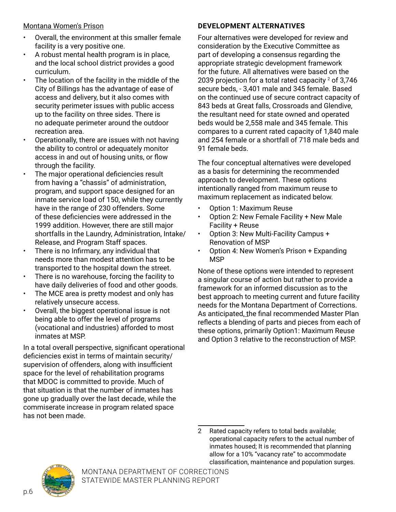#### Montana Women's Prison

- Overall, the environment at this smaller female facility is a very positive one.
- A robust mental health program is in place, and the local school district provides a good curriculum.
- The location of the facility in the middle of the City of Billings has the advantage of ease of access and delivery, but it also comes with security perimeter issues with public access up to the facility on three sides. There is no adequate perimeter around the outdoor recreation area.
- Operationally, there are issues with not having the ability to control or adequately monitor access in and out of housing units, or flow through the facility.
- The major operational deficiencies result from having a "chassis" of administration, program, and support space designed for an inmate service load of 150, while they currently have in the range of 230 offenders. Some of these deficiencies were addressed in the 1999 addition. However, there are still major shortfalls in the Laundry, Administration, Intake/ Release, and Program Staff spaces.
- There is no Infirmary, any individual that needs more than modest attention has to be transported to the hospital down the street.
- There is no warehouse, forcing the facility to have daily deliveries of food and other goods.
- The MCE area is pretty modest and only has relatively unsecure access.
- Overall, the biggest operational issue is not being able to offer the level of programs (vocational and industries) afforded to most inmates at MSP.

In a total overall perspective, significant operational deficiencies exist in terms of maintain security/ supervision of offenders, along with insufficient space for the level of rehabilitation programs that MDOC is committed to provide. Much of that situation is that the number of inmates has gone up gradually over the last decade, while the commiserate increase in program related space has not been made.

#### **DEVELOPMENT ALTERNATIVES**

Four alternatives were developed for review and consideration by the Executive Committee as part of developing a consensus regarding the appropriate strategic development framework for the future. All alternatives were based on the 2039 projection for a total rated capacity  $2$  of 3,746 secure beds, - 3,401 male and 345 female. Based on the continued use of secure contract capacity of 843 beds at Great falls, Crossroads and Glendive, the resultant need for state owned and operated beds would be 2,558 male and 345 female. This compares to a current rated capacity of 1,840 male and 254 female or a shortfall of 718 male beds and 91 female beds.

The four conceptual alternatives were developed as a basis for determining the recommended approach to development. These options intentionally ranged from maximum reuse to maximum replacement as indicated below.

- Option 1: Maximum Reuse
- Option 2: New Female Facility + New Male Facility + Reuse
- Option 3: New Multi-Facility Campus + Renovation of MSP
- Option 4: New Women's Prison + Expanding MSP

None of these options were intended to represent a singular course of action but rather to provide a framework for an informed discussion as to the best approach to meeting current and future facility needs for the Montana Department of Corrections. As anticipated, the final recommended Master Plan reflects a blending of parts and pieces from each of these options, primarily Option1: Maximum Reuse and Option 3 relative to the reconstruction of MSP.



<sup>2</sup> Rated capacity refers to total beds available; operational capacity refers to the actual number of inmates housed; It is recommended that planning allow for a 10% "vacancy rate" to accommodate classification, maintenance and population surges.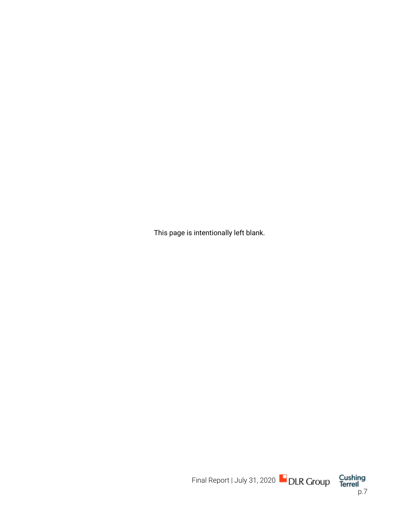This page is intentionally left blank.

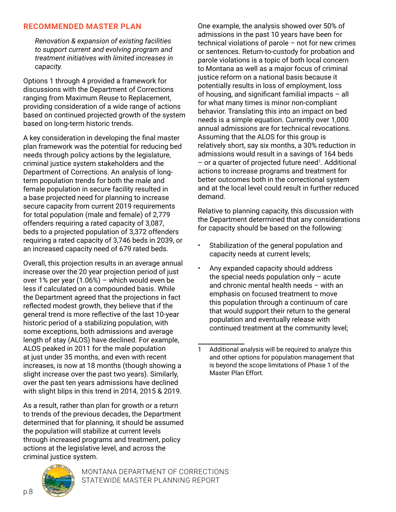#### **RECOMMENDED MASTER PLAN**

*Renovation & expansion of existing facilities to support current and evolving program and treatment initiatives with limited increases in capacity.*

Options 1 through 4 provided a framework for discussions with the Department of Corrections ranging from Maximum Reuse to Replacement, providing consideration of a wide range of actions based on continued projected growth of the system based on long-term historic trends.

A key consideration in developing the final master plan framework was the potential for reducing bed needs through policy actions by the legislature, criminal justice system stakeholders and the Department of Corrections. An analysis of longterm population trends for both the male and female population in secure facility resulted in a base projected need for planning to increase secure capacity from current 2019 requirements for total population (male and female) of 2,779 offenders requiring a rated capacity of 3,087, beds to a projected population of 3,372 offenders requiring a rated capacity of 3,746 beds in 2039, or an increased capacity need of 679 rated beds.

Overall, this projection results in an average annual increase over the 20 year projection period of just over 1% per year (1.06%) – which would even be less if calculated on a compounded basis. While the Department agreed that the projections in fact reflected modest growth, they believe that if the general trend is more reflective of the last 10-year historic period of a stabilizing population, with some exceptions, both admissions and average length of stay (ALOS) have declined. For example, ALOS peaked in 2011 for the male population at just under 35 months, and even with recent increases, is now at 18 months (though showing a slight increase over the past two years). Similarly, over the past ten years admissions have declined with slight blips in this trend in 2014, 2015 & 2019.

As a result, rather than plan for growth or a return to trends of the previous decades, the Department determined that for planning, it should be assumed the population will stabilize at current levels through increased programs and treatment, policy actions at the legislative level, and across the criminal justice system.



MONTANA DEPARTMENT OF CORRECTIONS STATEWIDE MASTER PLANNING REPORT

One example, the analysis showed over 50% of admissions in the past 10 years have been for technical violations of parole – not for new crimes or sentences. Return-to-custody for probation and parole violations is a topic of both local concern to Montana as well as a major focus of criminal justice reform on a national basis because it potentially results in loss of employment, loss of housing, and significant familial impacts – all for what many times is minor non-compliant behavior. Translating this into an impact on bed needs is a simple equation. Currently over 1,000 annual admissions are for technical revocations. Assuming that the ALOS for this group is relatively short, say six months, a 30% reduction in admissions would result in a savings of 164 beds  $-$  or a quarter of projected future need<sup>1</sup>. Additional actions to increase programs and treatment for better outcomes both in the correctional system and at the local level could result in further reduced demand.

Relative to planning capacity, this discussion with the Department determined that any considerations for capacity should be based on the following:

- Stabilization of the general population and capacity needs at current levels;
- Any expanded capacity should address the special needs population only  $-$  acute and chronic mental health needs – with an emphasis on focused treatment to move this population through a continuum of care that would support their return to the general population and eventually release with continued treatment at the community level;

<sup>1</sup> Additional analysis will be required to analyze this and other options for population management that is beyond the scope limitations of Phase 1 of the Master Plan Effort.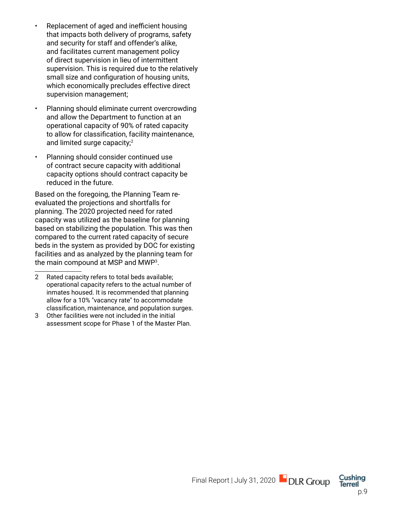- Replacement of aged and inefficient housing that impacts both delivery of programs, safety and security for staff and offender's alike, and facilitates current management policy of direct supervision in lieu of intermittent supervision. This is required due to the relatively small size and configuration of housing units, which economically precludes effective direct supervision management;
- Planning should eliminate current overcrowding and allow the Department to function at an operational capacity of 90% of rated capacity to allow for classification, facility maintenance, and limited surge capacity;<sup>2</sup>
- Planning should consider continued use of contract secure capacity with additional capacity options should contract capacity be reduced in the future.

Based on the foregoing, the Planning Team reevaluated the projections and shortfalls for planning. The 2020 projected need for rated capacity was utilized as the baseline for planning based on stabilizing the population. This was then compared to the current rated capacity of secure beds in the system as provided by DOC for existing facilities and as analyzed by the planning team for the main compound at MSP and MWP3 .

3 Other facilities were not included in the initial assessment scope for Phase 1 of the Master Plan.

Final Report | July 31, 2020 DLR Group

Cushina

<sup>2</sup> Rated capacity refers to total beds available; operational capacity refers to the actual number of inmates housed. It is recommended that planning allow for a 10% "vacancy rate" to accommodate classification, maintenance, and population surges.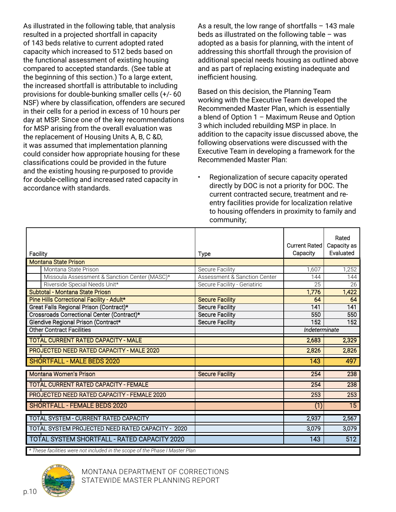As illustrated in the following table, that analysis resulted in a projected shortfall in capacity of 143 beds relative to current adopted rated capacity which increased to 512 beds based on the functional assessment of existing housing compared to accepted standards. (See table at the beginning of this section.) To a large extent, the increased shortfall is attributable to including provisions for double-bunking smaller cells (+/- 60 NSF) where by classification, offenders are secured in their cells for a period in excess of 10 hours per day at MSP. Since one of the key recommendations for MSP arising from the overall evaluation was the replacement of Housing Units A, B, C &D, it was assumed that implementation planning could consider how appropriate housing for these classifications could be provided in the future and the existing housing re-purposed to provide for double-celling and increased rated capacity in accordance with standards.

As a result, the low range of shortfalls  $-143$  male beds as illustrated on the following table – was adopted as a basis for planning, with the intent of addressing this shortfall through the provision of additional special needs housing as outlined above and as part of replacing existing inadequate and inefficient housing.

Based on this decision, the Planning Team working with the Executive Team developed the Recommended Master Plan, which is essentially a blend of Option 1 – Maximum Reuse and Option 3 which included rebuilding MSP in place. In addition to the capacity issue discussed above, the following observations were discussed with the Executive Team in developing a framework for the Recommended Master Plan:

• Regionalization of secure capacity operated directly by DOC is not a priority for DOC. The current contracted secure, treatment and reentry facilities provide for localization relative to housing offenders in proximity to family and community;

| Facility |                                                                              | <b>Type</b>                  | <b>Current Rated</b><br>Capacity | Rated<br>Capacity as<br>Evaluated |
|----------|------------------------------------------------------------------------------|------------------------------|----------------------------------|-----------------------------------|
|          | <b>Montana State Prison</b>                                                  |                              |                                  |                                   |
|          | Montana State Prison                                                         | Secure Facility              | 1,607                            | 1,252                             |
|          | Missoula Assessment & Sanction Center (MASC)*                                | Assessment & Sanction Center | 144                              | 144                               |
|          | Riverside Special Needs Unit*                                                | Secure Facility - Geriatiric | 25                               | 26                                |
|          | Subtotal - Montana State Priosn                                              |                              | 1,776                            | 1,422                             |
|          | Pine Hills Correctional Facility - Adult*                                    | <b>Secure Facility</b>       | 64                               | 64                                |
|          | Great Falls Regional Prison (Contract)*                                      | <b>Secure Facility</b>       | 141                              | 141                               |
|          | Crossroads Correctional Center (Contract)*                                   | <b>Secure Facility</b>       | 550                              | 550                               |
|          | Glendive Regional Prison (Contract*                                          | <b>Secure Facility</b>       | 152                              | 152                               |
|          | <b>Other Contract Facilities</b>                                             |                              | Indeterminate                    |                                   |
|          | <b>TOTAL CURRENT RATED CAPACITY - MALE</b>                                   |                              | 2,683                            | 2,329                             |
|          | <b>PROJECTED NEED RATED CAPACITY - MALE 2020</b>                             |                              | 2,826                            | 2,826                             |
|          | <b>SHORTFALL - MALE BEDS 2020</b>                                            |                              | 143                              | 497                               |
|          | <b>Montana Women's Prison</b>                                                | <b>Secure Facility</b>       | 254                              | 238                               |
|          | <b>TOTAL CURRENT RATED CAPACITY - FEMALE</b>                                 |                              | 254                              | 238                               |
|          | PROJECTED NEED RATED CAPACITY - FEMALE 2020                                  |                              | 253                              | 253                               |
|          | <b>SHORTFALL - FEMALE BEDS 2020</b>                                          |                              | (1)                              | 15                                |
|          | TOTAL SYSTEM - CURRENT RATED CAPACITY                                        |                              | 2,937                            | 2,567                             |
|          | TOTAL SYSTEM PROJECTED NEED RATED CAPACITY - 2020                            |                              | 3,079                            | 3,079                             |
|          | TOTAL SYSTEM SHORTFALL - RATED CAPACITY 2020                                 |                              | 143                              | 512                               |
|          | * These facilities were not included in the scope of the Phase I Master Plan |                              |                                  |                                   |

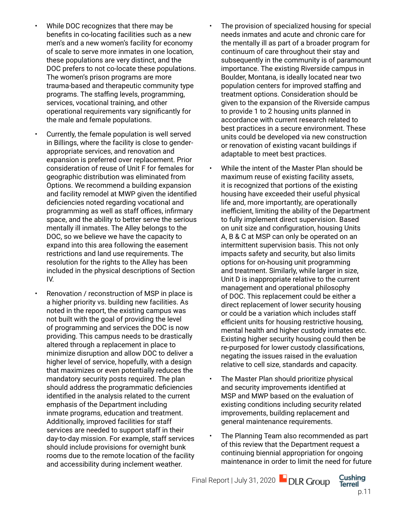- While DOC recognizes that there may be benefits in co-locating facilities such as a new men's and a new women's facility for economy of scale to serve more inmates in one location, these populations are very distinct, and the DOC prefers to not co-locate these populations. The women's prison programs are more trauma-based and therapeutic community type programs. The staffing levels, programming, services, vocational training, and other operational requirements vary significantly for the male and female populations.
- Currently, the female population is well served in Billings, where the facility is close to genderappropriate services, and renovation and expansion is preferred over replacement. Prior consideration of reuse of Unit F for females for geographic distribution was eliminated from Options. We recommend a building expansion and facility remodel at MWP given the identified deficiencies noted regarding vocational and programming as well as staff offices, infirmary space, and the ability to better serve the serious mentally ill inmates. The Alley belongs to the DOC, so we believe we have the capacity to expand into this area following the easement restrictions and land use requirements. The resolution for the rights to the Alley has been included in the physical descriptions of Section IV.
- Renovation / reconstruction of MSP in place is a higher priority vs. building new facilities. As noted in the report, the existing campus was not built with the goal of providing the level of programming and services the DOC is now providing. This campus needs to be drastically altered through a replacement in place to minimize disruption and allow DOC to deliver a higher level of service, hopefully, with a design that maximizes or even potentially reduces the mandatory security posts required. The plan should address the programmatic deficiencies identified in the analysis related to the current emphasis of the Department including inmate programs, education and treatment. Additionally, improved facilities for staff services are needed to support staff in their day-to-day mission. For example, staff services should include provisions for overnight bunk rooms due to the remote location of the facility and accessibility during inclement weather.
- The provision of specialized housing for special needs inmates and acute and chronic care for the mentally ill as part of a broader program for continuum of care throughout their stay and subsequently in the community is of paramount importance. The existing Riverside campus in Boulder, Montana, is ideally located near two population centers for improved staffing and treatment options. Consideration should be given to the expansion of the Riverside campus to provide 1 to 2 housing units planned in accordance with current research related to best practices in a secure environment. These units could be developed via new construction or renovation of existing vacant buildings if adaptable to meet best practices.
- While the intent of the Master Plan should be maximum reuse of existing facility assets, it is recognized that portions of the existing housing have exceeded their useful physical life and, more importantly, are operationally inefficient, limiting the ability of the Department to fully implement direct supervision. Based on unit size and configuration, housing Units A, B & C at MSP can only be operated on an intermittent supervision basis. This not only impacts safety and security, but also limits options for on-housing unit programming and treatment. Similarly, while larger in size, Unit D is inappropriate relative to the current management and operational philosophy of DOC. This replacement could be either a direct replacement of lower security housing or could be a variation which includes staff efficient units for housing restrictive housing, mental health and higher custody inmates etc. Existing higher security housing could then be re-purposed for lower custody classifications, negating the issues raised in the evaluation relative to cell size, standards and capacity.
- The Master Plan should prioritize physical and security improvements identified at MSP and MWP based on the evaluation of existing conditions including security related improvements, building replacement and general maintenance requirements.
- The Planning Team also recommended as part of this review that the Department request a continuing biennial appropriation for ongoing maintenance in order to limit the need for future

Final Report | July 31, 2020 DIR Group

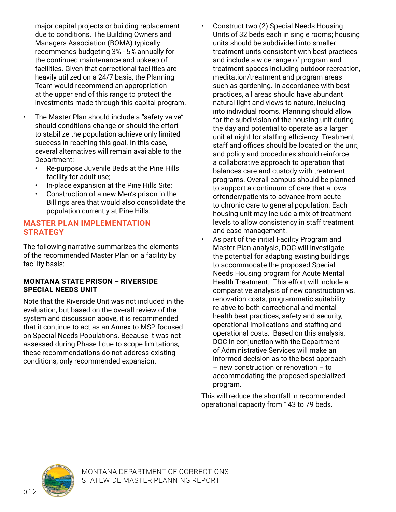major capital projects or building replacement due to conditions. The Building Owners and Managers Association (BOMA) typically recommends budgeting 3% - 5% annually for the continued maintenance and upkeep of facilities. Given that correctional facilities are heavily utilized on a 24/7 basis, the Planning Team would recommend an appropriation at the upper end of this range to protect the investments made through this capital program.

- The Master Plan should include a "safety valve" should conditions change or should the effort to stabilize the population achieve only limited success in reaching this goal. In this case, several alternatives will remain available to the Department:
	- Re-purpose Juvenile Beds at the Pine Hills facility for adult use;
	- In-place expansion at the Pine Hills Site;
	- Construction of a new Men's prison in the Billings area that would also consolidate the population currently at Pine Hills.

# **MASTER PLAN IMPLEMENTATION STRATEGY**

The following narrative summarizes the elements of the recommended Master Plan on a facility by facility basis:

#### **MONTANA STATE PRISON – RIVERSIDE SPECIAL NEEDS UNIT**

Note that the Riverside Unit was not included in the evaluation, but based on the overall review of the system and discussion above, it is recommended that it continue to act as an Annex to MSP focused on Special Needs Populations. Because it was not assessed during Phase I due to scope limitations, these recommendations do not address existing conditions, only recommended expansion.

- Construct two (2) Special Needs Housing Units of 32 beds each in single rooms; housing units should be subdivided into smaller treatment units consistent with best practices and include a wide range of program and treatment spaces including outdoor recreation, meditation/treatment and program areas such as gardening. In accordance with best practices, all areas should have abundant natural light and views to nature, including into individual rooms. Planning should allow for the subdivision of the housing unit during the day and potential to operate as a larger unit at night for staffing efficiency. Treatment staff and offices should be located on the unit, and policy and procedures should reinforce a collaborative approach to operation that balances care and custody with treatment programs. Overall campus should be planned to support a continuum of care that allows offender/patients to advance from acute to chronic care to general population. Each housing unit may include a mix of treatment levels to allow consistency in staff treatment and case management.
- As part of the initial Facility Program and Master Plan analysis, DOC will investigate the potential for adapting existing buildings to accommodate the proposed Special Needs Housing program for Acute Mental Health Treatment. This effort will include a comparative analysis of new construction vs. renovation costs, programmatic suitability relative to both correctional and mental health best practices, safety and security, operational implications and staffing and operational costs. Based on this analysis, DOC in conjunction with the Department of Administrative Services will make an informed decision as to the best approach – new construction or renovation – to accommodating the proposed specialized program.

This will reduce the shortfall in recommended operational capacity from 143 to 79 beds.

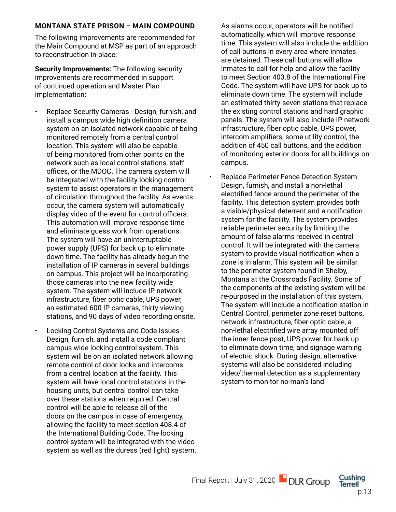#### **MONTANA STATE PRISON – MAIN COMPOUND**

The following improvements are recommended for the Main Compound at MSP as part of an approach to reconstruction in-place:

**Security Improvements:** The following security improvements are recommended in support of continued operation and Master Plan implementation:

- Replace Security Cameras Design, furnish, and install a campus wide high definition camera system on an isolated network capable of being monitored remotely from a central control location. This system will also be capable of being monitored from other points on the network such as local control stations, staff offices, or the MDOC. The camera system will be integrated with the facility locking control system to assist operators in the management of circulation throughout the facility. As events occur, the camera system will automatically display video of the event for control officers. This automation will improve response time and eliminate guess work from operations. The system will have an uninterruptable power supply (UPS) for back up to eliminate down time. The facility has already begun the installation of IP cameras in several buildings on campus. This project will be incorporating those cameras into the new facility wide system. The system will include IP network infrastructure, fiber optic cable, UPS power, an estimated 600 IP cameras, thirty viewing stations, and 90 days of video recording onsite.
- Locking Control Systems and Code Issues Design, furnish, and install a code compliant campus wide locking control system. This system will be on an isolated network allowing remote control of door locks and intercoms from a central location at the facility. This system will have local control stations in the housing units, but central control can take over these stations when required. Central control will be able to release all of the doors on the campus in case of emergency, allowing the facility to meet section 408.4 of the International Building Code. The locking control system will be integrated with the video system as well as the duress (red light) system.

As alarms occur, operators will be notified automatically, which will improve response time. This system will also include the addition of call buttons in every area where inmates are detained. These call buttons will allow inmates to call for help and allow the facility to meet Section 403.8 of the International Fire Code. The system will have UPS for back up to eliminate down time. The system will include an estimated thirty-seven stations that replace the existing control stations and hard graphic panels. The system will also include IP network infrastructure, fiber optic cable, UPS power, intercom amplifiers, some utility control, the addition of 450 call buttons, and the addition of monitoring exterior doors for all buildings on campus.

• Replace Perimeter Fence Detection System Design, furnish, and install a non-lethal electrified fence around the perimeter of the facility. This detection system provides both a visible/physical deterrent and a notification system for the facility. The system provides reliable perimeter security by limiting the amount of false alarms received in central control. It will be integrated with the camera system to provide visual notification when a zone is in alarm. This system will be similar to the perimeter system found in Shelby, Montana at the Crossroads Facility. Some of the components of the existing system will be re-purposed in the installation of this system. The system will include a notification station in Central Control, perimeter zone reset buttons, network infrastructure, fiber optic cable, a non-lethal electrified wire array mounted off the inner fence post, UPS power for back up to eliminate down time, and signage warning of electric shock. During design, alternative systems will also be considered including video/thermal detection as a supplementary system to monitor no-man's land.

Final Report | July 31, 2020 DIR Group

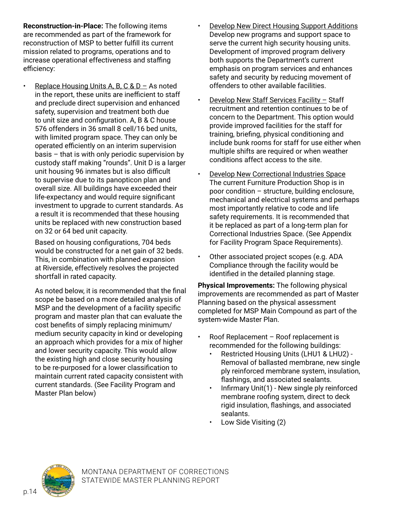**Reconstruction-in-Place:** The following items are recommended as part of the framework for reconstruction of MSP to better fulfill its current mission related to programs, operations and to increase operational effectiveness and staffing efficiency:

• Replace Housing Units A, B, C & D – As noted in the report, these units are inefficient to staff and preclude direct supervision and enhanced safety, supervision and treatment both due to unit size and configuration. A, B & C house 576 offenders in 36 small 8 cell/16 bed units, with limited program space. They can only be operated efficiently on an interim supervision basis – that is with only periodic supervision by custody staff making "rounds". Unit D is a larger unit housing 96 inmates but is also difficult to supervise due to its panopticon plan and overall size. All buildings have exceeded their life-expectancy and would require significant investment to upgrade to current standards. As a result it is recommended that these housing units be replaced with new construction based on 32 or 64 bed unit capacity.

Based on housing configurations, 704 beds would be constructed for a net gain of 32 beds. This, in combination with planned expansion at Riverside, effectively resolves the projected shortfall in rated capacity.

As noted below, it is recommended that the final scope be based on a more detailed analysis of MSP and the development of a facility specific program and master plan that can evaluate the cost benefits of simply replacing minimum/ medium security capacity in kind or developing an approach which provides for a mix of higher and lower security capacity. This would allow the existing high and close security housing to be re-purposed for a lower classification to maintain current rated capacity consistent with current standards. (See Facility Program and Master Plan below)

- Develop New Direct Housing Support Additions Develop new programs and support space to serve the current high security housing units. Development of improved program delivery both supports the Department's current emphasis on program services and enhances safety and security by reducing movement of offenders to other available facilities.
- Develop New Staff Services Facility Staff recruitment and retention continues to be of concern to the Department. This option would provide improved facilities for the staff for training, briefing, physical conditioning and include bunk rooms for staff for use either when multiple shifts are required or when weather conditions affect access to the site.
- Develop New Correctional Industries Space The current Furniture Production Shop is in poor condition – structure, building enclosure, mechanical and electrical systems and perhaps most importantly relative to code and life safety requirements. It is recommended that it be replaced as part of a long-term plan for Correctional Industries Space. (See Appendix for Facility Program Space Requirements).
- Other associated project scopes (e.g. ADA Compliance through the facility would be identified in the detailed planning stage.

**Physical Improvements:** The following physical improvements are recommended as part of Master Planning based on the physical assessment completed for MSP Main Compound as part of the system-wide Master Plan.

- Roof Replacement Roof replacement is recommended for the following buildings:
	- Restricted Housing Units (LHU1 & LHU2) Removal of ballasted membrane, new single ply reinforced membrane system, insulation, flashings, and associated sealants.
	- Infirmary Unit(1) New single ply reinforced membrane roofing system, direct to deck rigid insulation, flashings, and associated sealants.
	- Low Side Visiting (2)



MONTANA DEPARTMENT OF CORRECTIONS STATEWIDE MASTER PLANNING REPORT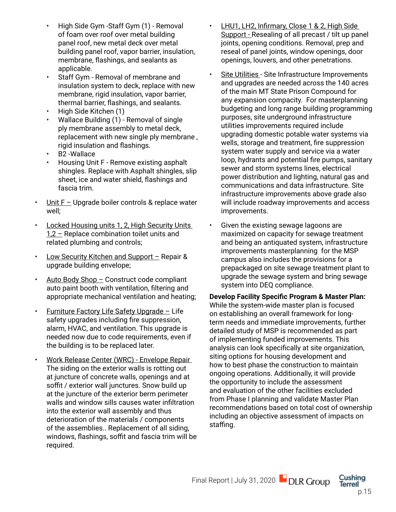- High Side Gym -Staff Gym (1) Removal of foam over roof over metal building panel roof, new metal deck over metal building panel roof, vapor barrier, insulation, membrane, flashings, and sealants as applicable.
- Staff Gym Removal of membrane and insulation system to deck, replace with new membrane, rigid insulation, vapor barrier, thermal barrier, flashings, and sealants.
- High Side Kitchen (1)
- Wallace Building (1) Removal of single ply membrane assembly to metal deck, replacement with new single ply membrane , rigid insulation and flashings.
- B2 -Wallace
- Housing Unit F Remove existing asphalt shingles. Replace with Asphalt shingles, slip sheet, ice and water shield, flashings and fascia trim.
- Unit  $F -$  Upgrade boiler controls & replace water well;
- Locked Housing units 1, 2, High Security Units 1,2 – Replace combination toilet units and related plumbing and controls;
- Low Security Kitchen and Support Repair & upgrade building envelope;
- Auto Body Shop  $-$  Construct code compliant auto paint booth with ventilation, filtering and appropriate mechanical ventilation and heating;
- Furniture Factory Life Safety Upgrade Life safety upgrades including fire suppression, alarm, HVAC, and ventilation. This upgrade is needed now due to code requirements, even if the building is to be replaced later.
- Work Release Center (WRC) Envelope Repair The siding on the exterior walls is rotting out at juncture of concrete walls, openings and at soffit / exterior wall junctures. Snow build up at the juncture of the exterior berm perimeter walls and window sills causes water infiltration into the exterior wall assembly and thus deterioration of the materials / components of the assemblies.. Replacement of all siding, windows, flashings, soffit and fascia trim will be required.
- LHU1, LH2, Infirmary, Close 1 & 2, High Side Support - Resealing of all precast / tilt up panel joints, opening conditions. Removal, prep and reseal of panel joints, window openings, door openings, louvers, and other penetrations.
- Site Utilities Site Infrastructure Improvements and upgrades are needed across the 140 acres of the main MT State Prison Compound for any expansion compacity. For masterplanning budgeting and long range building programming purposes, site underground infrastructure utilities improvements required include upgrading domestic potable water systems via wells, storage and treatment, fire suppression system water supply and service via a water loop, hydrants and potential fire pumps, sanitary sewer and storm systems lines, electrical power distribution and lighting, natural gas and communications and data infrastructure. Site infrastructure improvements above grade also will include roadway improvements and access improvements.
- Given the existing sewage lagoons are maximized on capacity for sewage treatment and being an antiquated system, infrastructure improvements masterplanning for the MSP campus also includes the provisions for a prepackaged on site sewage treatment plant to upgrade the sewage system and bring sewage system into DEQ compliance.

**Develop Facility Specific Program & Master Plan:**  While the system-wide master plan is focused on establishing an overall framework for longterm needs and immediate improvements, further detailed study of MSP is recommended as part of implementing funded improvements. This analysis can look specifically at site organization, siting options for housing development and how to best phase the construction to maintain ongoing operations. Additionally, it will provide the opportunity to include the assessment and evaluation of the other facilities excluded from Phase I planning and validate Master Plan recommendations based on total cost of ownership including an objective assessment of impacts on staffing.

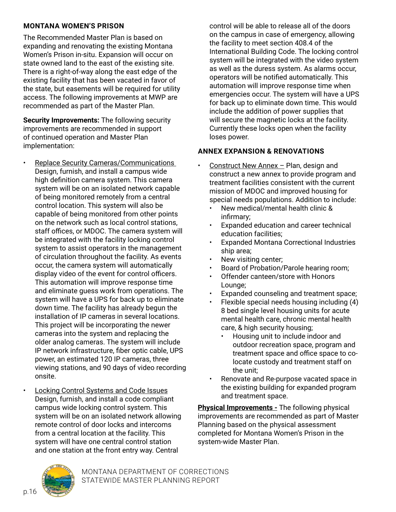#### **MONTANA WOMEN'S PRISON**

The Recommended Master Plan is based on expanding and renovating the existing Montana Women's Prison in-situ. Expansion will occur on state owned land to the east of the existing site. There is a right-of-way along the east edge of the existing facility that has been vacated in favor of the state, but easements will be required for utility access. The following improvements at MWP are recommended as part of the Master Plan.

**Security Improvements:** The following security improvements are recommended in support of continued operation and Master Plan implementation:

- Replace Security Cameras/Communications Design, furnish, and install a campus wide high definition camera system. This camera system will be on an isolated network capable of being monitored remotely from a central control location. This system will also be capable of being monitored from other points on the network such as local control stations, staff offices, or MDOC. The camera system will be integrated with the facility locking control system to assist operators in the management of circulation throughout the facility. As events occur, the camera system will automatically display video of the event for control officers. This automation will improve response time and eliminate guess work from operations. The system will have a UPS for back up to eliminate down time. The facility has already begun the installation of IP cameras in several locations. This project will be incorporating the newer cameras into the system and replacing the older analog cameras. The system will include IP network infrastructure, fiber optic cable, UPS power, an estimated 120 IP cameras, three viewing stations, and 90 days of video recording onsite.
	- Locking Control Systems and Code Issues Design, furnish, and install a code compliant campus wide locking control system. This system will be on an isolated network allowing remote control of door locks and intercoms from a central location at the facility. This system will have one central control station and one station at the front entry way. Central

control will be able to release all of the doors on the campus in case of emergency, allowing the facility to meet section 408.4 of the International Building Code. The locking control system will be integrated with the video system as well as the duress system. As alarms occur, operators will be notified automatically. This automation will improve response time when emergencies occur. The system will have a UPS for back up to eliminate down time. This would include the addition of power supplies that will secure the magnetic locks at the facility. Currently these locks open when the facility loses power.

#### **ANNEX EXPANSION & RENOVATIONS**

- Construct New Annex Plan, design and construct a new annex to provide program and treatment facilities consistent with the current mission of MDOC and improved housing for special needs populations. Addition to include:
	- New medical/mental health clinic & infirmary;
	- Expanded education and career technical education facilities;
	- Expanded Montana Correctional Industries ship area;
	- New visiting center;
	- Board of Probation/Parole hearing room;
	- Offender canteen/store with Honors Lounge;
	- Expanded counseling and treatment space;
	- Flexible special needs housing including (4) 8 bed single level housing units for acute mental health care, chronic mental health care, & high security housing;
		- Housing unit to include indoor and outdoor recreation space, program and treatment space and office space to colocate custody and treatment staff on the unit;
	- Renovate and Re-purpose vacated space in the existing building for expanded program and treatment space.

**Physical Improvements -** The following physical improvements are recommended as part of Master Planning based on the physical assessment completed for Montana Women's Prison in the system-wide Master Plan.

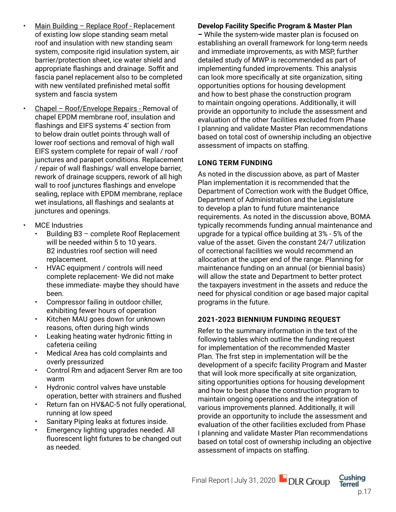- Main Building Replace Roof Replacement of existing low slope standing seam metal roof and insulation with new standing seam system, composite rigid insulation system, air barrier/protection sheet, ice water shield and appropriate flashings and drainage. Soffit and fascia panel replacement also to be completed with new ventilated prefinished metal soffit system and fascia system
- Chapel Roof/Envelope Repairs Removal of chapel EPDM membrane roof, insulation and flashings and EIFS systems 4' section from to below drain outlet points through wall of lower roof sections and removal of high wall EIFS system complete for repair of wall / roof junctures and parapet conditions. Replacement / repair of wall flashings/ wall envelope barrier, rework of drainage scuppers, rework of all high wall to roof junctures flashings and envelope sealing, replace with EPDM membrane, replace wet insulations, all flashings and sealants at junctures and openings.
- **MCE** Industries
- Building B3 complete Roof Replacement will be needed within 5 to 10 years. B2 industries roof section will need replacement.
- HVAC equipment / controls will need complete replacement- We did not make these immediate- maybe they should have been.
- Compressor failing in outdoor chiller, exhibiting fewer hours of operation
- Kitchen MAU goes down for unknown reasons, often during high winds
- Leaking heating water hydronic fitting in cafeteria ceiling
- Medical Area has cold complaints and overly pressurized
- Control Rm and adjacent Server Rm are too warm
- Hydronic control valves have unstable operation, better with strainers and flushed
- Return fan on HV&AC-5 not fully operational, running at low speed
- Sanitary Piping leaks at fixtures inside.
- Emergency lighting upgrades needed. All fluorescent light fixtures to be changed out as needed.

#### **Develop Facility Specific Program & Master Plan**

**–** While the system-wide master plan is focused on establishing an overall framework for long-term needs and immediate improvements, as with MSP, further detailed study of MWP is recommended as part of implementing funded improvements. This analysis can look more specifically at site organization, siting opportunities options for housing development and how to best phase the construction program to maintain ongoing operations. Additionally, it will provide an opportunity to include the assessment and evaluation of the other facilities excluded from Phase I planning and validate Master Plan recommendations based on total cost of ownership including an objective assessment of impacts on staffing.

#### **LONG TERM FUNDING**

As noted in the discussion above, as part of Master Plan implementation it is recommended that the Department of Correction work with the Budget Office, Department of Administration and the Legislature to develop a plan to fund future maintenance requirements. As noted in the discussion above, BOMA typically recommends funding annual maintenance and upgrade for a typical office building at 3% - 5% of the value of the asset. Given the constant 24/7 utilization of correctional facilities we would recommend an allocation at the upper end of the range. Planning for maintenance funding on an annual (or biennial basis) will allow the state and Department to better protect the taxpayers investment in the assets and reduce the need for physical condition or age based major capital programs in the future.

#### **2021-2023 BIENNIUM FUNDING REQUEST**

Refer to the summary information in the text of the following tables which outline the funding request for implementation of the recommended Master Plan. The frst step in implementation will be the development of a specifc facility Program and Master that will look more specifically at site organization, siting opportunities options for housing development and how to best phase the construction program to maintain ongoing operations and the integration of various improvements planned. Additionally, it will provide an opportunity to include the assessment and evaluation of the other facilities excluded from Phase I planning and validate Master Plan recommendations based on total cost of ownership including an objective assessment of impacts on staffing.

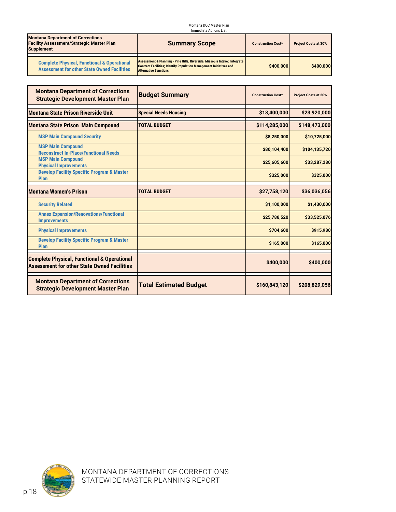#### Montana DOC Master Plan Immediate Actions List

| <b>Montana Department of Corrections</b><br><b>Facility Assessment/Strategic Master Plan</b><br><b>Supplement</b> | <b>Summary Scope</b>                                                                                                                                                                    | <b>Construction Cost*</b> | <b>Project Costs at 30%</b> |
|-------------------------------------------------------------------------------------------------------------------|-----------------------------------------------------------------------------------------------------------------------------------------------------------------------------------------|---------------------------|-----------------------------|
| <b>Complete Physical, Functional &amp; Operational</b><br><b>Assessment for other State Owned Facilities</b>      | Assessment & Planning - Pine Hills, Riverside, Missoula Intake; Integrate<br><b>Contract Facilities: Identify Population Management Initiatives and</b><br><b>Alternative Sanctions</b> | \$400,000                 | \$400,000                   |

| <b>Montana Department of Corrections</b><br><b>Strategic Development Master Plan</b>                         | <b>Budget Summary</b>         | <b>Construction Cost*</b> | <b>Project Costs at 30%</b> |
|--------------------------------------------------------------------------------------------------------------|-------------------------------|---------------------------|-----------------------------|
| <b>Montana State Prison Riverside Unit</b>                                                                   | <b>Special Needs Housing</b>  | \$18,400,000              | \$23,920,000                |
| <b>Montana State Prison Main Compound</b>                                                                    | <b>TOTAL BUDGET</b>           | \$114,285,000             | \$148,473,000               |
| <b>MSP Main Compound Security</b>                                                                            |                               | \$8,250,000               | \$10,725,000                |
| <b>MSP Main Compound</b><br><b>Reconstruct In-Place/Functional Needs</b>                                     |                               | \$80,104,400              | \$104,135,720               |
| <b>MSP Main Compound</b><br><b>Physical Improvements</b>                                                     |                               | \$25,605,600              | \$33,287,280                |
| <b>Develop Facility Specific Program &amp; Master</b><br>Plan                                                |                               | \$325,000                 | \$325,000                   |
| Montana Women's Prison                                                                                       | <b>TOTAL BUDGET</b>           | \$27,758,120              | \$36,036,056                |
| <b>Security Related</b>                                                                                      |                               | \$1,100,000               | \$1,430,000                 |
| <b>Annex Expansion/Renovations/Functional</b><br><b>Improvements</b>                                         |                               | \$25,788,520              | \$33,525,076                |
| <b>Physical Improvements</b>                                                                                 |                               | \$704,600                 | \$915,980                   |
| <b>Develop Facility Specific Program &amp; Master</b><br><b>Plan</b>                                         |                               | \$165,000                 | \$165,000                   |
| <b>Complete Physical, Functional &amp; Operational</b><br><b>Assessment for other State Owned Facilities</b> |                               | \$400,000                 | \$400,000                   |
| <b>Montana Department of Corrections</b><br><b>Strategic Development Master Plan</b>                         | <b>Total Estimated Budget</b> | \$160,843,120             | \$208,829,056               |

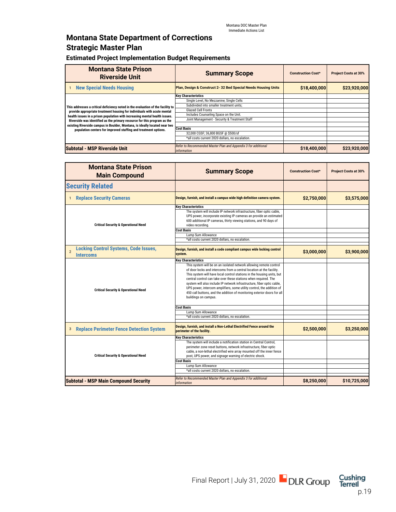## **Montana State Department of Corrections Strategic Master Plan**

**Estimated Project Implementation Budget Requirements**

| <b>Montana State Prison</b><br><b>Riverside Unit</b>                                                                                                   | <b>Summary Scope</b>                                                                 | Construction Cost* | <b>Project Costs at 30%</b> |
|--------------------------------------------------------------------------------------------------------------------------------------------------------|--------------------------------------------------------------------------------------|--------------------|-----------------------------|
| <b>New Special Needs Housing</b>                                                                                                                       | Plan, Design & Construct 2-32 Bed Special Needs Housing Units                        | \$18,400,000       | \$23,920,000                |
|                                                                                                                                                        | <b>Key Characteristics</b>                                                           |                    |                             |
|                                                                                                                                                        | Single Level, No Mezzanine; Single Cells                                             |                    |                             |
| This addresses a critical deficiency noted in the evaluation of the facility to                                                                        | Subdivided into smaller treatment units:                                             |                    |                             |
| provide appropriate treatment housing for individuals with acute mental                                                                                | Glazed Cell Fronts                                                                   |                    |                             |
| health issues in a prison population with increasing mental health issues.<br>Riverside was identified as the primary resource for this program as the | Includes Counseling Space on the Unit.                                               |                    |                             |
|                                                                                                                                                        | Joint Management - Security & Treatment Staff                                        |                    |                             |
| existing Riverside campus in Boulder, Montana, is ideally located near two                                                                             |                                                                                      |                    |                             |
| population centers for improved staffing and treatment options.                                                                                        | <b>Cost Basis</b>                                                                    |                    |                             |
|                                                                                                                                                        | 32,000 CGSF; 36,800 BGSF @ \$500/sf                                                  |                    |                             |
|                                                                                                                                                        | *all costs current 2020 dollars, no escalation.                                      |                    |                             |
|                                                                                                                                                        |                                                                                      |                    |                             |
| <b>Subtotal - MSP Riverside Unit</b>                                                                                                                   | Refer to Recommended Master Plan and Appendix 3 for additional<br><i>information</i> | \$18,400,000       | \$23.920.000                |

| <b>Montana State Prison</b><br><b>Main Compound</b>                                | <b>Summary Scope</b>                                                                                                                                                                                                                                                                                                                                                                                                                                                                                                                                                                                                                                                      | <b>Construction Cost*</b> | <b>Project Costs at 30%</b> |
|------------------------------------------------------------------------------------|---------------------------------------------------------------------------------------------------------------------------------------------------------------------------------------------------------------------------------------------------------------------------------------------------------------------------------------------------------------------------------------------------------------------------------------------------------------------------------------------------------------------------------------------------------------------------------------------------------------------------------------------------------------------------|---------------------------|-----------------------------|
| <b>Security Related</b>                                                            |                                                                                                                                                                                                                                                                                                                                                                                                                                                                                                                                                                                                                                                                           |                           |                             |
| <b>Replace Security Cameras</b>                                                    | Design, furnish, and install a campus wide high definition camera system.                                                                                                                                                                                                                                                                                                                                                                                                                                                                                                                                                                                                 | \$2,750,000               | \$3,575,000                 |
| <b>Critical Security &amp; Operational Need</b>                                    | <b>Key Characteristics</b><br>The system will include IP network infrastructure, fiber optic cable,<br>UPS power, incorporate existing IP cameras an provide an estimated<br>600 additional IP cameras, thirty viewing stations, and 90 days of<br>video recording.<br><b>Cost Basis</b><br>Lump Sum Allowance<br>*all costs current 2020 dollars, no escalation.                                                                                                                                                                                                                                                                                                         |                           |                             |
| <b>Locking Control Systems, Code Issues,</b><br>$\overline{2}$<br><b>Intercoms</b> | Design, furnish, and install a code compliant campus wide locking control<br>system.                                                                                                                                                                                                                                                                                                                                                                                                                                                                                                                                                                                      | \$3,000,000               | \$3,900,000                 |
| <b>Critical Security &amp; Operational Need</b>                                    | <b>Key Characteristics</b><br>This system will be on an isolated network allowing remote control<br>of door locks and intercoms from a central location at the facility.<br>This system will have local control stations in the housing units, but<br>central control can take over these stations when required. The<br>system will also include IP network infrastructure, fiber optic cable,<br>UPS power, intercom amplifiers, some utility control, the addition of<br>450 call buttons, and the addition of monitoring exterior doors for all<br>buildings on campus.<br><b>Cost Basis</b><br>Lump Sum Allowance<br>*all costs current 2020 dollars, no escalation. |                           |                             |
| <b>Replace Perimeter Fence Detection System</b><br>3                               | Design, furnish, and install a Non-Lethal Electrified Fence around the<br>perimeter of the facility.                                                                                                                                                                                                                                                                                                                                                                                                                                                                                                                                                                      | \$2,500,000               | \$3,250,000                 |
| <b>Critical Security &amp; Operational Need</b>                                    | <b>Key Characteristics</b><br>The system will include a notification station in Central Control,<br>perimeter zone reset buttons, network infrastructure, fiber optic<br>cable, a non-lethal electrified wire array mounted off the inner fence<br>post, UPS power, and signage warning of electric shock.<br><b>Cost Basis</b><br>Lump Sum Allowance<br>*all costs current 2020 dollars, no escalation.                                                                                                                                                                                                                                                                  |                           |                             |
| <b>Subtotal - MSP Main Compound Security</b>                                       | Refer to Recommended Master Plan and Appendix 3 for additional<br>information                                                                                                                                                                                                                                                                                                                                                                                                                                                                                                                                                                                             | \$8,250,000               | \$10,725,000                |



Final Report | July 31, 2020 DLR Group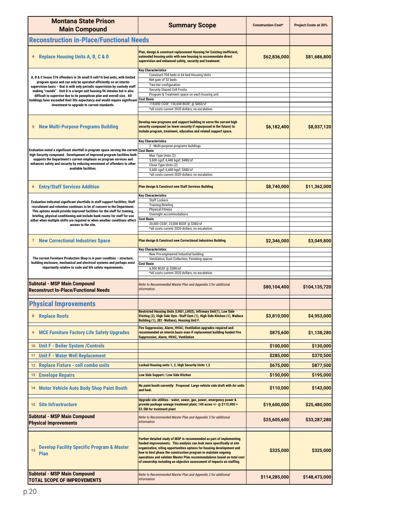| <b>Montana State Prison</b><br><b>Main Compound</b>                                                                                                                                                                                                                                                                                                                                                                                                                                                               | <b>Summary Scope</b>                                                                                                                                                                                                                                                                                                                                                                                                                          | <b>Construction Cost*</b> | <b>Project Costs at 30%</b> |
|-------------------------------------------------------------------------------------------------------------------------------------------------------------------------------------------------------------------------------------------------------------------------------------------------------------------------------------------------------------------------------------------------------------------------------------------------------------------------------------------------------------------|-----------------------------------------------------------------------------------------------------------------------------------------------------------------------------------------------------------------------------------------------------------------------------------------------------------------------------------------------------------------------------------------------------------------------------------------------|---------------------------|-----------------------------|
| <b>Reconstruction in-Place/Functional Needs</b>                                                                                                                                                                                                                                                                                                                                                                                                                                                                   |                                                                                                                                                                                                                                                                                                                                                                                                                                               |                           |                             |
| 4 Replace Housing Units A, B, C & D                                                                                                                                                                                                                                                                                                                                                                                                                                                                               | Plan, design & construct replacement Housing for Existing inefficient,<br>outmoded housing units with new housing to accommodate direct<br>supervision and enhanced safety, security and treatment.                                                                                                                                                                                                                                           | \$62,836,000              | \$81,686,800                |
| A, B & C house 576 offenders in 36 small 8 cell/16 bed units, with limited<br>program space and can only be operated efficiently on an interim<br>supervision basis - that is with only periodic supervision by custody staff<br>making "rounds". Unit D is a larger unit housing 96 inmates but is also<br>difficult to supervise due to its panopticon plan and overall size. All<br>buildings have exceeded their life-expectancy and would require significant<br>investment to upgrade to current standards. | Key Characteristics<br>Construct 704 beds in 64 bed Housing Units<br>Net gain of 32 beds<br>Two-tier configuration<br><b>Security Glazed Cell Fronts</b><br>Program & Treatment space on each housing unit<br><b>Cost Basis</b><br>118,800 CGSF; 136,600 BGSF; @ \$460/sf<br>*all costs current 2020 dollars, no escalation.                                                                                                                  |                           |                             |
| 5 New Multi-Purpose Programs Building                                                                                                                                                                                                                                                                                                                                                                                                                                                                             | Develop new programs and support building to serve the current high<br>security compound (or lower security if repurposed in the future) to<br>include program, treatment, education and related support space.                                                                                                                                                                                                                               | \$6,182,400               | \$8,037,120                 |
| Evaluation noted a significant shortfall in program space serving the current Cost Basis<br>high Security compound. Development of improved program facilities both<br>supports the Department's current emphasis on program services and<br>enhances safety and security by reducing movement of offenders to other<br>available facilities.                                                                                                                                                                     | Key Characteristics<br>2 - Multi-purpose programs buildings<br>Max Type Units (2)<br>5,600 cgsf; 6,440 bgsf; \$480/sf<br>Close Type Units (2)<br>5,600 cgsf; 6,440 bgsf; \$480/sf<br>*all costs current 2020 dollars, no escalation.                                                                                                                                                                                                          |                           |                             |
| <b>Entry/Staff Services Addition</b><br>6                                                                                                                                                                                                                                                                                                                                                                                                                                                                         | <b>Plan design &amp; Construct new Staff Services Building</b>                                                                                                                                                                                                                                                                                                                                                                                | \$8,740,000               | \$11,362,000                |
| Evaluation indicated significant shortfalls in staff support facilities; Staff<br>recruitment and retention continues to be of concern to the Department.<br>This options would provide improved facilities for the staff for training,<br>briefing, physical conditioning and include bunk rooms for staff for use<br>either when multiple shifts are required or when weather conditions affect<br>access to the site.                                                                                          | <b>Key Characteristics</b><br><b>Staff Lockers</b><br><b>Training/Briefing</b><br><b>Physical Fitness</b><br>Overnight accommodations<br><b>Cost Basis</b><br>20,000 CGSF; 23,000 BGSF @ \$380/sf<br>*all costs current 2020 dollars, no escalation.                                                                                                                                                                                          |                           |                             |
| <sup>7</sup> New Correctional Industries Space                                                                                                                                                                                                                                                                                                                                                                                                                                                                    | <b>Plan design &amp; Construct new Correctional Industries Building</b>                                                                                                                                                                                                                                                                                                                                                                       | \$2,346,000               | \$3,049,800                 |
| The current Furniture Production Shop is in poor condition - structure,<br>building enclosure, mechanical and electrical systems and perhaps most<br>importantly relative to code and life safety requirements.                                                                                                                                                                                                                                                                                                   | Key Characteristics<br>New Pre-engineered Industrial building<br>Ventilation, Dust Collection, Finishing spaces<br><b>Cost Basis</b><br>6,900 BGSF @ \$380/sf<br>*all costs current 2020 dollars, no escalation.                                                                                                                                                                                                                              |                           |                             |
| <b>Subtotal - MSP Main Compound</b><br><b>Reconstruct In-Place/Functional Needs</b>                                                                                                                                                                                                                                                                                                                                                                                                                               | Refer to Recommended Master Plan and Appendix 3 for additional<br>information                                                                                                                                                                                                                                                                                                                                                                 | \$80,104,400              | \$104,135,720               |
| <b>Physical Improvements</b>                                                                                                                                                                                                                                                                                                                                                                                                                                                                                      |                                                                                                                                                                                                                                                                                                                                                                                                                                               |                           |                             |
| 8 Replace Roofs                                                                                                                                                                                                                                                                                                                                                                                                                                                                                                   | Restricted Housing Units (LHU1_LHU2), Infirmary Unit(1), Low Side<br>Visiting (2), High Side Gym - Staff Gym (1), High Side Kitchen (1), Wallace<br>Building (1), (B2 -Wallace), Housing Unit F.                                                                                                                                                                                                                                              | \$3,810,000               | \$4,953,000                 |
| <b>MCE Furniture Factory Life Safety Upgrades</b><br>9                                                                                                                                                                                                                                                                                                                                                                                                                                                            | Fire Suppression, Alarm, HVAC, Ventilation upgrades required and<br>recommended on interim basis even if replacement building funded Fire<br><b>Suppression, Alarm, HVAC, Ventilation</b>                                                                                                                                                                                                                                                     | \$875,600                 | \$1,138,280                 |
| <b>Unit F - Boiler System /Controls</b><br>10                                                                                                                                                                                                                                                                                                                                                                                                                                                                     |                                                                                                                                                                                                                                                                                                                                                                                                                                               | \$100,000                 | \$130,000                   |
| <b>Unit F - Water Well Replacement</b><br>11                                                                                                                                                                                                                                                                                                                                                                                                                                                                      |                                                                                                                                                                                                                                                                                                                                                                                                                                               | \$285,000                 | \$370,500                   |
| Replace Fixture - cell combo units<br>12                                                                                                                                                                                                                                                                                                                                                                                                                                                                          | Locked Housing units 1, 2, High Security Units 1,2                                                                                                                                                                                                                                                                                                                                                                                            | \$675,000                 | \$877,500                   |
| <b>Envelope Repairs</b><br>13                                                                                                                                                                                                                                                                                                                                                                                                                                                                                     | Low Side Support / Low Side Kitchen                                                                                                                                                                                                                                                                                                                                                                                                           | \$150,000                 | \$195,000                   |
| <b>Motor Vehicle Auto Body Shop Paint Booth</b><br>14                                                                                                                                                                                                                                                                                                                                                                                                                                                             | No paint booth currently: Proposed Large vehicle side draft with Air units<br>and heat.                                                                                                                                                                                                                                                                                                                                                       | \$110,000                 | \$143,000                   |
| Site Infrastructure<br>15                                                                                                                                                                                                                                                                                                                                                                                                                                                                                         | Upgrade site utilities - water, sewer, gas, power, emergency power &<br>provide package sewage treatment plant; 140 acres +/- @ \$115,000 +<br>\$3.5M for treatment plant                                                                                                                                                                                                                                                                     | \$19,600,000              | \$25,480,000                |
| <b>Subtotal - MSP Main Compound</b><br><b>Physical Improvements</b>                                                                                                                                                                                                                                                                                                                                                                                                                                               | Refer to Recommended Master Plan and Appendix 3 for additional<br>information                                                                                                                                                                                                                                                                                                                                                                 | \$25,605,600              | \$33,287,280                |
| <b>Develop Facility Specific Program &amp; Master</b><br>15<br><b>Plan</b>                                                                                                                                                                                                                                                                                                                                                                                                                                        | Further detailed study of MSP is recommended as part of implementing<br>funded improvements. This analysis can look more specifically at site<br>organization, siting opportunities options for housing development and<br>how to best phase the construction program to maintain ongoing<br>operations and validate Master Plan recommendations based on total cost<br>of ownership including an objective assessment of impacts on staffing | \$325,000                 | \$325,000                   |
| <b>Subtotal - MSP Main Compound</b><br><b>TOTAL SCOPE OF IMPROVEMENTS</b>                                                                                                                                                                                                                                                                                                                                                                                                                                         | Refer to Recommended Master Plan and Appendix 3 for additional<br>information                                                                                                                                                                                                                                                                                                                                                                 | \$114,285,000             | \$148,473,000               |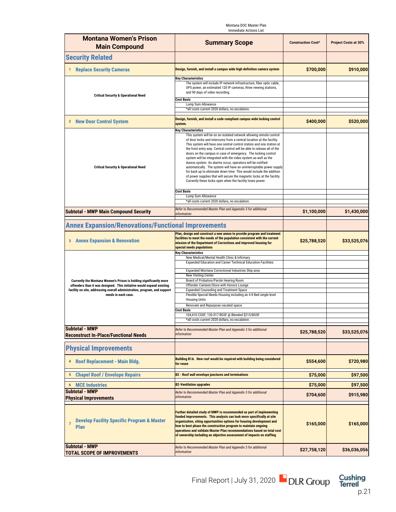Montana DOC Master Plan Immediate Actions List

| <b>Montana Women's Prison</b><br><b>Main Compound</b>                                                                                                                                                                                           | <b>Summary Scope</b>                                                                                                                                                                                                                                                                                                                                                                                                                                                                                                                                                                                                                                                                                                                                                                                                                                                                                            | <b>Construction Cost*</b> | <b>Project Costs at 30%</b> |
|-------------------------------------------------------------------------------------------------------------------------------------------------------------------------------------------------------------------------------------------------|-----------------------------------------------------------------------------------------------------------------------------------------------------------------------------------------------------------------------------------------------------------------------------------------------------------------------------------------------------------------------------------------------------------------------------------------------------------------------------------------------------------------------------------------------------------------------------------------------------------------------------------------------------------------------------------------------------------------------------------------------------------------------------------------------------------------------------------------------------------------------------------------------------------------|---------------------------|-----------------------------|
| <b>Security Related</b>                                                                                                                                                                                                                         |                                                                                                                                                                                                                                                                                                                                                                                                                                                                                                                                                                                                                                                                                                                                                                                                                                                                                                                 |                           |                             |
| <sup>1</sup> Replace Security Cameras                                                                                                                                                                                                           | Design, furnish, and install a campus wide high definition camera system                                                                                                                                                                                                                                                                                                                                                                                                                                                                                                                                                                                                                                                                                                                                                                                                                                        | \$700,000                 | \$910,000                   |
| <b>Critical Security &amp; Operational Need</b>                                                                                                                                                                                                 | Key Characteristics<br>The system will include IP network infrastructure, fiber optic cable,<br>UPS power, an estimated 120 IP cameras, three viewing stations,<br>and 90 days of video recording.                                                                                                                                                                                                                                                                                                                                                                                                                                                                                                                                                                                                                                                                                                              |                           |                             |
|                                                                                                                                                                                                                                                 | <b>Cost Basis</b><br>Lump Sum Allowance<br>*all costs current 2020 dollars, no escalation.                                                                                                                                                                                                                                                                                                                                                                                                                                                                                                                                                                                                                                                                                                                                                                                                                      |                           |                             |
| 2 New Door Control System                                                                                                                                                                                                                       | Design, furnish, and install a code compliant campus wide locking control<br>system.                                                                                                                                                                                                                                                                                                                                                                                                                                                                                                                                                                                                                                                                                                                                                                                                                            | \$400,000                 | \$520,000                   |
| <b>Critical Security &amp; Operational Need</b>                                                                                                                                                                                                 | <b>Key Characteristics</b><br>This system will be on an isolated network allowing remote control<br>of door locks and intercoms from a central location at the facility.<br>This system will have one central control station and one station at<br>the front entry way. Central control will be able to release all of the<br>doors on the campus in case of emergency. The locking control<br>system will be integrated with the video system as well as the<br>duress system. As alarms occur, operators will be notified<br>automatically. The system will have an uninterruptable power supply<br>for back up to eliminate down time. This would include the addition<br>of power supplies that will secure the magnetic locks at the facility.<br>Currently these locks open when the facility loses power.<br><b>Cost Basis</b><br>Lump Sum Allowance<br>*all costs current 2020 dollars, no escalation. |                           |                             |
| <b>Subtotal - MWP Main Compound Security</b>                                                                                                                                                                                                    | Refer to Recommended Master Plan and Appendix 3 for additional                                                                                                                                                                                                                                                                                                                                                                                                                                                                                                                                                                                                                                                                                                                                                                                                                                                  | \$1,100,000               | \$1,430,000                 |
|                                                                                                                                                                                                                                                 | information                                                                                                                                                                                                                                                                                                                                                                                                                                                                                                                                                                                                                                                                                                                                                                                                                                                                                                     |                           |                             |
| <b>Annex Expansion/Renovations/Functional Improvements</b>                                                                                                                                                                                      |                                                                                                                                                                                                                                                                                                                                                                                                                                                                                                                                                                                                                                                                                                                                                                                                                                                                                                                 |                           |                             |
| <b>Annex Expansion &amp; Renovation</b><br>3                                                                                                                                                                                                    | Plan, design and construct a new annex to provide program and treatment<br>facilities to meet the needs of the population consistent with the current<br>mission of the Department of Corrections and improved housing for<br>special needs populations                                                                                                                                                                                                                                                                                                                                                                                                                                                                                                                                                                                                                                                         | \$25,788,520              | \$33,525,076                |
| Currently the Montana Women's Prison is holding significantly more<br>offenders than it was designed. This initiative would expand existing<br>facility on site, addressing overall administration, program, and support<br>needs in each case. | <b>Key Characteristics</b><br>New Medical/Mental Health Clinic & Infirmary<br>Expanded Education and Career Technical Education Facilities<br>Expanded Montana Correctional Industries Ship area<br><b>New Visiting Center</b><br>Board of Probation/Parole Hearing Room<br>Offender Canteen/Store with Honors Lounge<br><b>Expanded Counseling and Treatment Space</b><br>Flexible Special Needs Housing including an 4 8 Bed single level<br><b>Housing Units</b><br>Renovate and Repurpose vacated space<br>Cost Basis<br>104,410 CGSF; 120.017 BGSF @ Blended \$215/BGSF<br>*all costs current 2020 dollars, no escalation.                                                                                                                                                                                                                                                                                 |                           |                             |
| <b>Subtotal - MWP</b><br><b>Reconstruct In-Place/Functional Needs</b>                                                                                                                                                                           | Refer to Recommended Master Plan and Appendix 3 for additional<br>information                                                                                                                                                                                                                                                                                                                                                                                                                                                                                                                                                                                                                                                                                                                                                                                                                                   | \$25,788,520              | \$33,525,076                |
| <b>Physical Improvements</b>                                                                                                                                                                                                                    |                                                                                                                                                                                                                                                                                                                                                                                                                                                                                                                                                                                                                                                                                                                                                                                                                                                                                                                 |                           |                             |
| 4 Roof Replacement - Main Bldg.                                                                                                                                                                                                                 | Building B1A. New roof would be required with building being considered<br>for reuse                                                                                                                                                                                                                                                                                                                                                                                                                                                                                                                                                                                                                                                                                                                                                                                                                            | \$554,600                 | \$720,980                   |
| <b>Chapel Roof / Envelope Repairs</b><br>5                                                                                                                                                                                                      | <b>B2 - Roof wall envelope junctures and terminations</b>                                                                                                                                                                                                                                                                                                                                                                                                                                                                                                                                                                                                                                                                                                                                                                                                                                                       | \$75,000                  | \$97,500                    |
| <b>MCE Industries</b><br>6                                                                                                                                                                                                                      | <b>B2-Ventilation upgrades</b>                                                                                                                                                                                                                                                                                                                                                                                                                                                                                                                                                                                                                                                                                                                                                                                                                                                                                  | \$75,000                  | \$97,500                    |
| <b>Subtotal - MWP</b><br><b>Physical Improvements</b>                                                                                                                                                                                           | Refer to Recommended Master Plan and Appendix 3 for additional<br>information                                                                                                                                                                                                                                                                                                                                                                                                                                                                                                                                                                                                                                                                                                                                                                                                                                   | \$704,600                 | \$915,980                   |
| <b>Develop Facility Specific Program &amp; Master</b><br>$\overline{7}$<br><b>Plan</b>                                                                                                                                                          | Further detailed study of MWP is recommended as part of implementing<br>funded improvements. This analysis can look more specifically at site<br>organization, siting opportunities options for housing development and<br>how to best phase the construction program to maintain ongoing<br>operations and validate Master Plan recommendations based on total cost<br>of ownership including an objective assessment of impacts on staffing                                                                                                                                                                                                                                                                                                                                                                                                                                                                   | \$165,000                 | \$165,000                   |
| <b>Subtotal - MWP</b><br><b>TOTAL SCOPE OF IMPROVEMENTS</b>                                                                                                                                                                                     | Refer to Recommended Master Plan and Appendix 3 for additional<br>information                                                                                                                                                                                                                                                                                                                                                                                                                                                                                                                                                                                                                                                                                                                                                                                                                                   | \$27,758,120              | \$36,036,056                |

Final Report | July 31, 2020 DLR Group